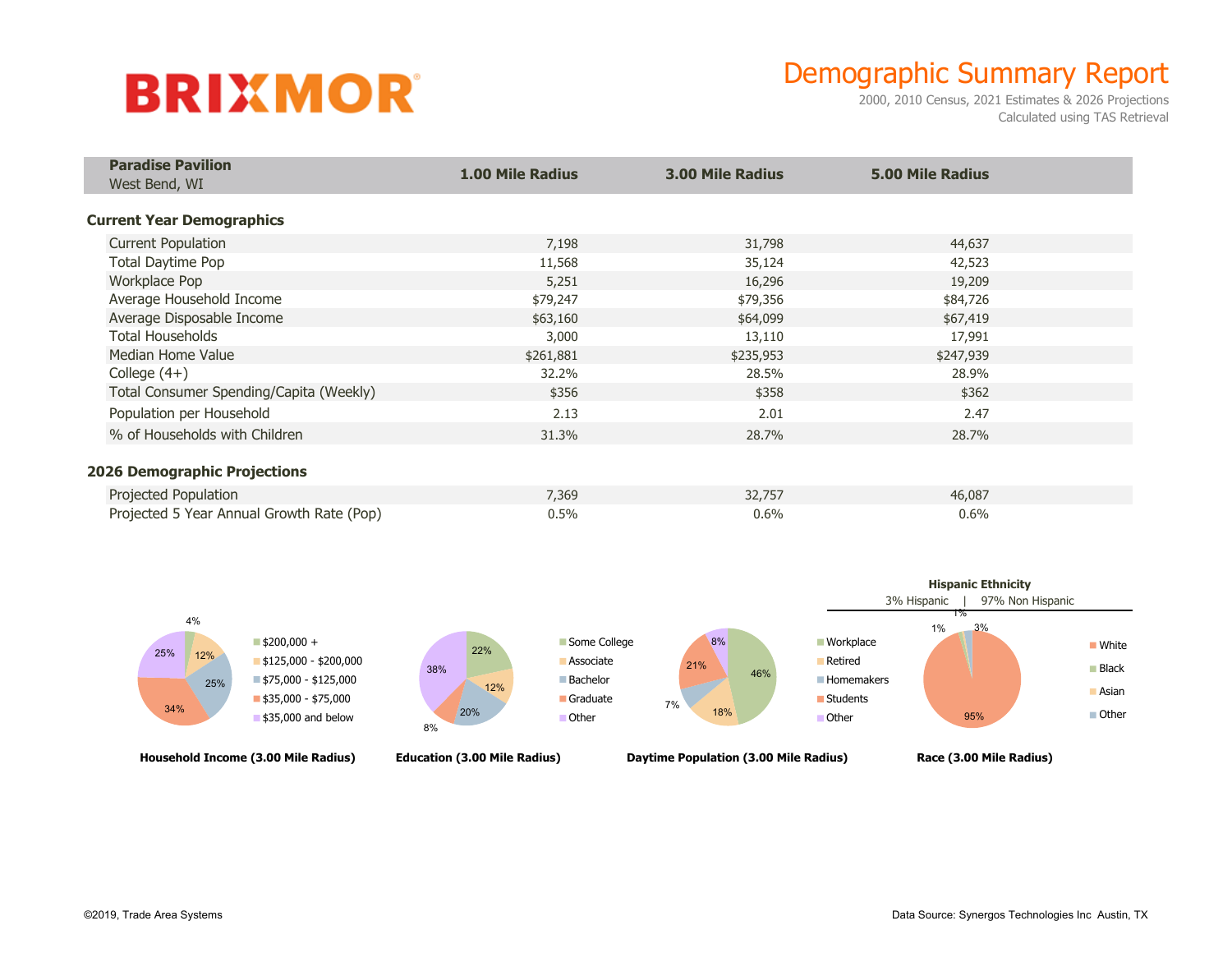# **BRIXMOR**

### Demographic Summary Report

2000, 2010 Census, 2021 Estimates & 2026 Projections Calculated using TAS Retrieval

| <b>Paradise Pavilion</b>                  | <b>1.00 Mile Radius</b> | <b>3.00 Mile Radius</b> | <b>5.00 Mile Radius</b> |  |
|-------------------------------------------|-------------------------|-------------------------|-------------------------|--|
| West Bend, WI                             |                         |                         |                         |  |
| <b>Current Year Demographics</b>          |                         |                         |                         |  |
| <b>Current Population</b>                 | 7,198                   | 31,798                  | 44,637                  |  |
| Total Daytime Pop                         | 11,568                  | 35,124                  | 42,523                  |  |
| <b>Workplace Pop</b>                      | 5,251                   | 16,296                  | 19,209                  |  |
| Average Household Income                  | \$79,247                | \$79,356                | \$84,726                |  |
| Average Disposable Income                 | \$63,160                | \$64,099                | \$67,419                |  |
| <b>Total Households</b>                   | 3,000                   | 13,110                  | 17,991                  |  |
| Median Home Value                         | \$261,881               | \$235,953               | \$247,939               |  |
| College $(4+)$                            | 32.2%                   | 28.5%                   | 28.9%                   |  |
| Total Consumer Spending/Capita (Weekly)   | \$356                   | \$358                   | \$362                   |  |
| Population per Household                  | 2.13                    | 2.01                    | 2.47                    |  |
| % of Households with Children             | 31.3%                   | 28.7%                   | 28.7%                   |  |
| <b>2026 Demographic Projections</b>       |                         |                         |                         |  |
| Projected Population                      | 7,369                   | 32,757                  | 46,087                  |  |
| Projected 5 Year Annual Growth Rate (Pop) | 0.5%                    | 0.6%                    | 0.6%                    |  |